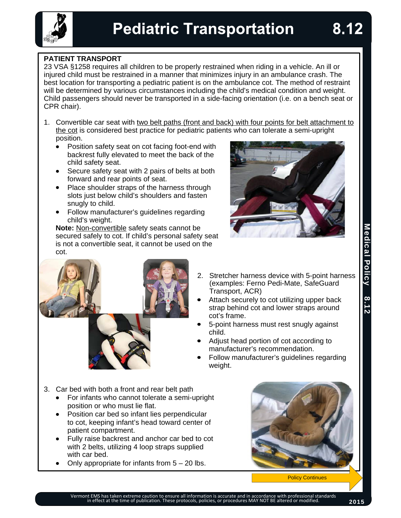## **PATIENT TRANSPORT**

23 VSA §1258 requires all children to be properly restrained when riding in a vehicle. An ill or injured child must be restrained in a manner that minimizes injury in an ambulance crash. The best location for transporting a pediatric patient is on the ambulance cot. The method of restraint will be determined by various circumstances including the child's medical condition and weight. Child passengers should never be transported in a side-facing orientation (i.e. on a bench seat or CPR chair).

- 1. Convertible car seat with two belt paths (front and back) with four points for belt attachment to the cot is considered best practice for pediatric patients who can tolerate a semi-upright position.
	- Position safety seat on cot facing foot-end with  $\bullet$ backrest fully elevated to meet the back of the child safety seat.
	- Secure safety seat with 2 pairs of belts at both forward and rear points of seat.
	- Place shoulder straps of the harness through slots just below child's shoulders and fasten snugly to child.
	- Follow manufacturer's guidelines regarding child's weight.

**Note:** Non-convertible safety seats cannot be secured safely to cot. If child's personal safety seat is not a convertible seat, it cannot be used on the cot.





- 2. Stretcher harness device with 5-point harness (examples: Ferno Pedi-Mate, SafeGuard Transport, ACR)
- Attach securely to cot utilizing upper back strap behind cot and lower straps around cot's frame.
- 5-point harness must rest snugly against child.
- Adjust head portion of cot according to manufacturer's recommendation.
- Follow manufacturer's guidelines regarding weight.
- 3. Car bed with both a front and rear belt path
	- For infants who cannot tolerate a semi-upright  $\bullet$ position or who must lie flat.
	- Position car bed so infant lies perpendicular to cot, keeping infant's head toward center of patient compartment.
	- Fully raise backrest and anchor car bed to cot  $\bullet$ with 2 belts, utilizing 4 loop straps supplied with car bed.
	- Only appropriate for infants from  $5 20$  lbs.



Policy Continues

8.12